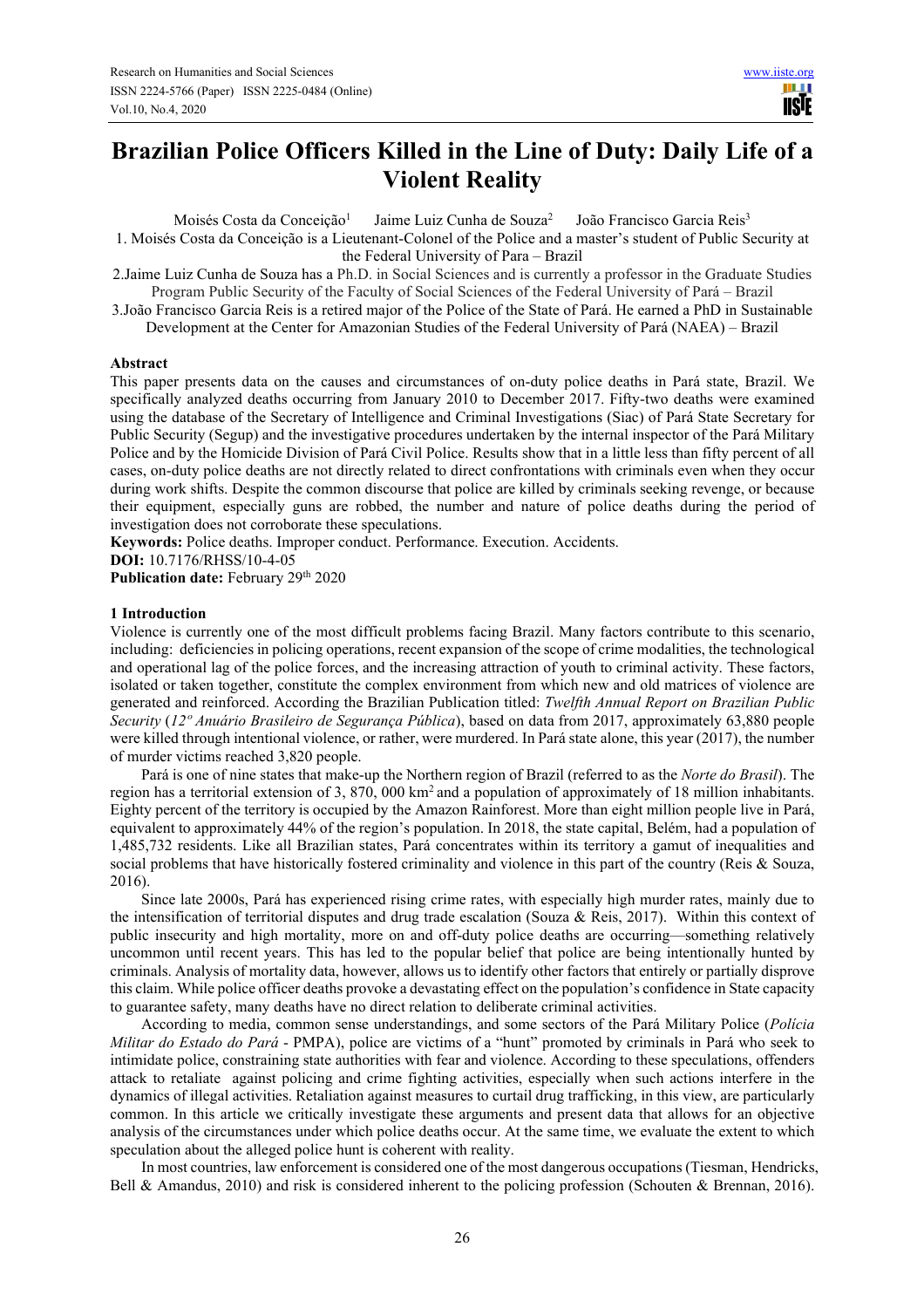# **Brazilian Police Officers Killed in the Line of Duty: Daily Life of a Violent Reality**

Moisés Costa da Conceição<sup>1</sup> Jaime Luiz Cunha de Souza<sup>2</sup> João Francisco Garcia Reis<sup>3</sup>

1. Moisés Costa da Conceição is a Lieutenant-Colonel of the Police and a master's student of Public Security at the Federal University of Para – Brazil

2.Jaime Luiz Cunha de Souza has a Ph.D. in Social Sciences and is currently a professor in the Graduate Studies Program Public Security of the Faculty of Social Sciences of the Federal University of Pará – Brazil

3.João Francisco Garcia Reis is a retired major of the Police of the State of Pará. He earned a PhD in Sustainable Development at the Center for Amazonian Studies of the Federal University of Pará (NAEA) – Brazil

## **Abstract**

This paper presents data on the causes and circumstances of on-duty police deaths in Pará state, Brazil. We specifically analyzed deaths occurring from January 2010 to December 2017. Fifty-two deaths were examined using the database of the Secretary of Intelligence and Criminal Investigations (Siac) of Pará State Secretary for Public Security (Segup) and the investigative procedures undertaken by the internal inspector of the Pará Military Police and by the Homicide Division of Pará Civil Police. Results show that in a little less than fifty percent of all cases, on-duty police deaths are not directly related to direct confrontations with criminals even when they occur during work shifts. Despite the common discourse that police are killed by criminals seeking revenge, or because their equipment, especially guns are robbed, the number and nature of police deaths during the period of investigation does not corroborate these speculations.

**Keywords:** Police deaths. Improper conduct. Performance. Execution. Accidents.

**DOI:** 10.7176/RHSS/10-4-05

Publication date: February 29<sup>th</sup> 2020

## **1 Introduction**

Violence is currently one of the most difficult problems facing Brazil. Many factors contribute to this scenario, including: deficiencies in policing operations, recent expansion of the scope of crime modalities, the technological and operational lag of the police forces, and the increasing attraction of youth to criminal activity. These factors, isolated or taken together, constitute the complex environment from which new and old matrices of violence are generated and reinforced. According the Brazilian Publication titled: *Twelfth Annual Report on Brazilian Public Security* (*12º Anuário Brasileiro de Segurança Pública*), based on data from 2017, approximately 63,880 people were killed through intentional violence, or rather, were murdered. In Pará state alone, this year (2017), the number of murder victims reached 3,820 people.

Pará is one of nine states that make-up the Northern region of Brazil (referred to as the *Norte do Brasil*). The region has a territorial extension of 3, 870, 000 km<sup>2</sup> and a population of approximately of 18 million inhabitants. Eighty percent of the territory is occupied by the Amazon Rainforest. More than eight million people live in Pará, equivalent to approximately 44% of the region's population. In 2018, the state capital, Belém, had a population of 1,485,732 residents. Like all Brazilian states, Pará concentrates within its territory a gamut of inequalities and social problems that have historically fostered criminality and violence in this part of the country (Reis & Souza, 2016).

Since late 2000s, Pará has experienced rising crime rates, with especially high murder rates, mainly due to the intensification of territorial disputes and drug trade escalation (Souza & Reis, 2017). Within this context of public insecurity and high mortality, more on and off-duty police deaths are occurring—something relatively uncommon until recent years. This has led to the popular belief that police are being intentionally hunted by criminals. Analysis of mortality data, however, allows us to identify other factors that entirely or partially disprove this claim. While police officer deaths provoke a devastating effect on the population's confidence in State capacity to guarantee safety, many deaths have no direct relation to deliberate criminal activities.

According to media, common sense understandings, and some sectors of the Pará Military Police (*Polícia Militar do Estado do Pará* - PMPA), police are victims of a "hunt" promoted by criminals in Pará who seek to intimidate police, constraining state authorities with fear and violence. According to these speculations, offenders attack to retaliate against policing and crime fighting activities, especially when such actions interfere in the dynamics of illegal activities. Retaliation against measures to curtail drug trafficking, in this view, are particularly common. In this article we critically investigate these arguments and present data that allows for an objective analysis of the circumstances under which police deaths occur. At the same time, we evaluate the extent to which speculation about the alleged police hunt is coherent with reality.

In most countries, law enforcement is considered one of the most dangerous occupations (Tiesman, Hendricks, Bell & Amandus, 2010) and risk is considered inherent to the policing profession (Schouten & Brennan, 2016).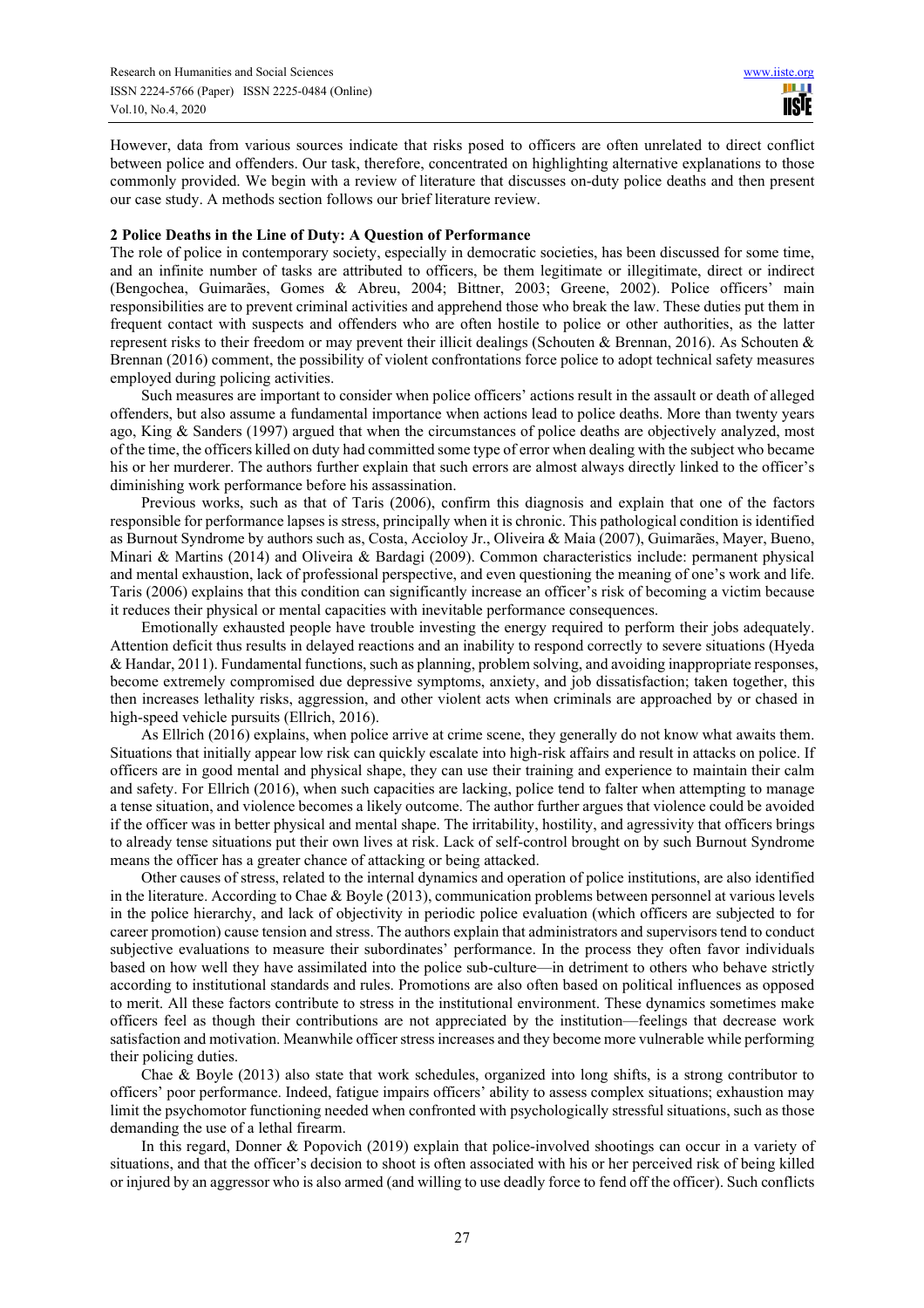However, data from various sources indicate that risks posed to officers are often unrelated to direct conflict between police and offenders. Our task, therefore, concentrated on highlighting alternative explanations to those commonly provided. We begin with a review of literature that discusses on-duty police deaths and then present our case study. A methods section follows our brief literature review.

#### **2 Police Deaths in the Line of Duty: A Question of Performance**

The role of police in contemporary society, especially in democratic societies, has been discussed for some time, and an infinite number of tasks are attributed to officers, be them legitimate or illegitimate, direct or indirect (Bengochea, Guimarães, Gomes & Abreu, 2004; Bittner, 2003; Greene, 2002). Police officers' main responsibilities are to prevent criminal activities and apprehend those who break the law. These duties put them in frequent contact with suspects and offenders who are often hostile to police or other authorities, as the latter represent risks to their freedom or may prevent their illicit dealings (Schouten & Brennan, 2016). As Schouten & Brennan (2016) comment, the possibility of violent confrontations force police to adopt technical safety measures employed during policing activities.

Such measures are important to consider when police officers' actions result in the assault or death of alleged offenders, but also assume a fundamental importance when actions lead to police deaths. More than twenty years ago, King & Sanders (1997) argued that when the circumstances of police deaths are objectively analyzed, most of the time, the officers killed on duty had committed some type of error when dealing with the subject who became his or her murderer. The authors further explain that such errors are almost always directly linked to the officer's diminishing work performance before his assassination.

Previous works, such as that of Taris (2006), confirm this diagnosis and explain that one of the factors responsible for performance lapses is stress, principally when it is chronic. This pathological condition is identified as Burnout Syndrome by authors such as, Costa, Accioloy Jr., Oliveira & Maia (2007), Guimarães, Mayer, Bueno, Minari & Martins (2014) and Oliveira & Bardagi (2009). Common characteristics include: permanent physical and mental exhaustion, lack of professional perspective, and even questioning the meaning of one's work and life. Taris (2006) explains that this condition can significantly increase an officer's risk of becoming a victim because it reduces their physical or mental capacities with inevitable performance consequences.

Emotionally exhausted people have trouble investing the energy required to perform their jobs adequately. Attention deficit thus results in delayed reactions and an inability to respond correctly to severe situations (Hyeda & Handar, 2011). Fundamental functions, such as planning, problem solving, and avoiding inappropriate responses, become extremely compromised due depressive symptoms, anxiety, and job dissatisfaction; taken together, this then increases lethality risks, aggression, and other violent acts when criminals are approached by or chased in high-speed vehicle pursuits (Ellrich, 2016).

As Ellrich (2016) explains, when police arrive at crime scene, they generally do not know what awaits them. Situations that initially appear low risk can quickly escalate into high-risk affairs and result in attacks on police. If officers are in good mental and physical shape, they can use their training and experience to maintain their calm and safety. For Ellrich (2016), when such capacities are lacking, police tend to falter when attempting to manage a tense situation, and violence becomes a likely outcome. The author further argues that violence could be avoided if the officer was in better physical and mental shape. The irritability, hostility, and agressivity that officers brings to already tense situations put their own lives at risk. Lack of self-control brought on by such Burnout Syndrome means the officer has a greater chance of attacking or being attacked.

Other causes of stress, related to the internal dynamics and operation of police institutions, are also identified in the literature. According to Chae & Boyle (2013), communication problems between personnel at various levels in the police hierarchy, and lack of objectivity in periodic police evaluation (which officers are subjected to for career promotion) cause tension and stress. The authors explain that administrators and supervisors tend to conduct subjective evaluations to measure their subordinates' performance. In the process they often favor individuals based on how well they have assimilated into the police sub-culture—in detriment to others who behave strictly according to institutional standards and rules. Promotions are also often based on political influences as opposed to merit. All these factors contribute to stress in the institutional environment. These dynamics sometimes make officers feel as though their contributions are not appreciated by the institution—feelings that decrease work satisfaction and motivation. Meanwhile officer stress increases and they become more vulnerable while performing their policing duties.

Chae & Boyle (2013) also state that work schedules, organized into long shifts, is a strong contributor to officers' poor performance. Indeed, fatigue impairs officers' ability to assess complex situations; exhaustion may limit the psychomotor functioning needed when confronted with psychologically stressful situations, such as those demanding the use of a lethal firearm.

In this regard, Donner & Popovich (2019) explain that police-involved shootings can occur in a variety of situations, and that the officer's decision to shoot is often associated with his or her perceived risk of being killed or injured by an aggressor who is also armed (and willing to use deadly force to fend off the officer). Such conflicts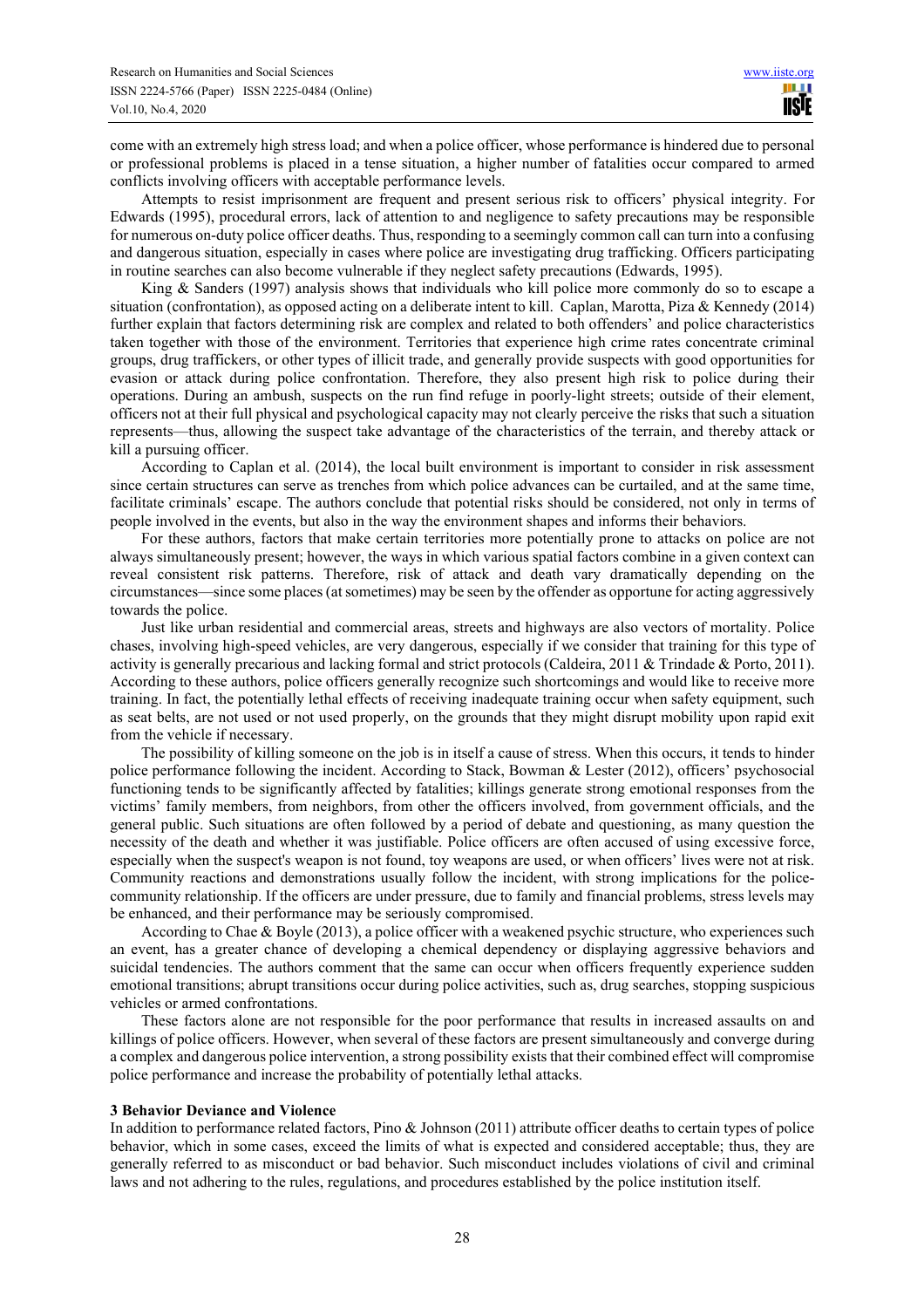come with an extremely high stress load; and when a police officer, whose performance is hindered due to personal or professional problems is placed in a tense situation, a higher number of fatalities occur compared to armed conflicts involving officers with acceptable performance levels.

Attempts to resist imprisonment are frequent and present serious risk to officers' physical integrity. For Edwards (1995), procedural errors, lack of attention to and negligence to safety precautions may be responsible for numerous on-duty police officer deaths. Thus, responding to a seemingly common call can turn into a confusing and dangerous situation, especially in cases where police are investigating drug trafficking. Officers participating in routine searches can also become vulnerable if they neglect safety precautions (Edwards, 1995).

King & Sanders (1997) analysis shows that individuals who kill police more commonly do so to escape a situation (confrontation), as opposed acting on a deliberate intent to kill. Caplan, Marotta, Piza & Kennedy (2014) further explain that factors determining risk are complex and related to both offenders' and police characteristics taken together with those of the environment. Territories that experience high crime rates concentrate criminal groups, drug traffickers, or other types of illicit trade, and generally provide suspects with good opportunities for evasion or attack during police confrontation. Therefore, they also present high risk to police during their operations. During an ambush, suspects on the run find refuge in poorly-light streets; outside of their element, officers not at their full physical and psychological capacity may not clearly perceive the risks that such a situation represents—thus, allowing the suspect take advantage of the characteristics of the terrain, and thereby attack or kill a pursuing officer.

According to Caplan et al. (2014), the local built environment is important to consider in risk assessment since certain structures can serve as trenches from which police advances can be curtailed, and at the same time, facilitate criminals' escape. The authors conclude that potential risks should be considered, not only in terms of people involved in the events, but also in the way the environment shapes and informs their behaviors.

For these authors, factors that make certain territories more potentially prone to attacks on police are not always simultaneously present; however, the ways in which various spatial factors combine in a given context can reveal consistent risk patterns. Therefore, risk of attack and death vary dramatically depending on the circumstances—since some places (at sometimes) may be seen by the offender as opportune for acting aggressively towards the police.

Just like urban residential and commercial areas, streets and highways are also vectors of mortality. Police chases, involving high-speed vehicles, are very dangerous, especially if we consider that training for this type of activity is generally precarious and lacking formal and strict protocols (Caldeira, 2011 & Trindade & Porto, 2011). According to these authors, police officers generally recognize such shortcomings and would like to receive more training. In fact, the potentially lethal effects of receiving inadequate training occur when safety equipment, such as seat belts, are not used or not used properly, on the grounds that they might disrupt mobility upon rapid exit from the vehicle if necessary.

The possibility of killing someone on the job is in itself a cause of stress. When this occurs, it tends to hinder police performance following the incident. According to Stack, Bowman & Lester (2012), officers' psychosocial functioning tends to be significantly affected by fatalities; killings generate strong emotional responses from the victims' family members, from neighbors, from other the officers involved, from government officials, and the general public. Such situations are often followed by a period of debate and questioning, as many question the necessity of the death and whether it was justifiable. Police officers are often accused of using excessive force, especially when the suspect's weapon is not found, toy weapons are used, or when officers' lives were not at risk. Community reactions and demonstrations usually follow the incident, with strong implications for the policecommunity relationship. If the officers are under pressure, due to family and financial problems, stress levels may be enhanced, and their performance may be seriously compromised.

According to Chae & Boyle (2013), a police officer with a weakened psychic structure, who experiences such an event, has a greater chance of developing a chemical dependency or displaying aggressive behaviors and suicidal tendencies. The authors comment that the same can occur when officers frequently experience sudden emotional transitions; abrupt transitions occur during police activities, such as, drug searches, stopping suspicious vehicles or armed confrontations.

These factors alone are not responsible for the poor performance that results in increased assaults on and killings of police officers. However, when several of these factors are present simultaneously and converge during a complex and dangerous police intervention, a strong possibility exists that their combined effect will compromise police performance and increase the probability of potentially lethal attacks.

#### **3 Behavior Deviance and Violence**

In addition to performance related factors, Pino & Johnson (2011) attribute officer deaths to certain types of police behavior, which in some cases, exceed the limits of what is expected and considered acceptable; thus, they are generally referred to as misconduct or bad behavior. Such misconduct includes violations of civil and criminal laws and not adhering to the rules, regulations, and procedures established by the police institution itself.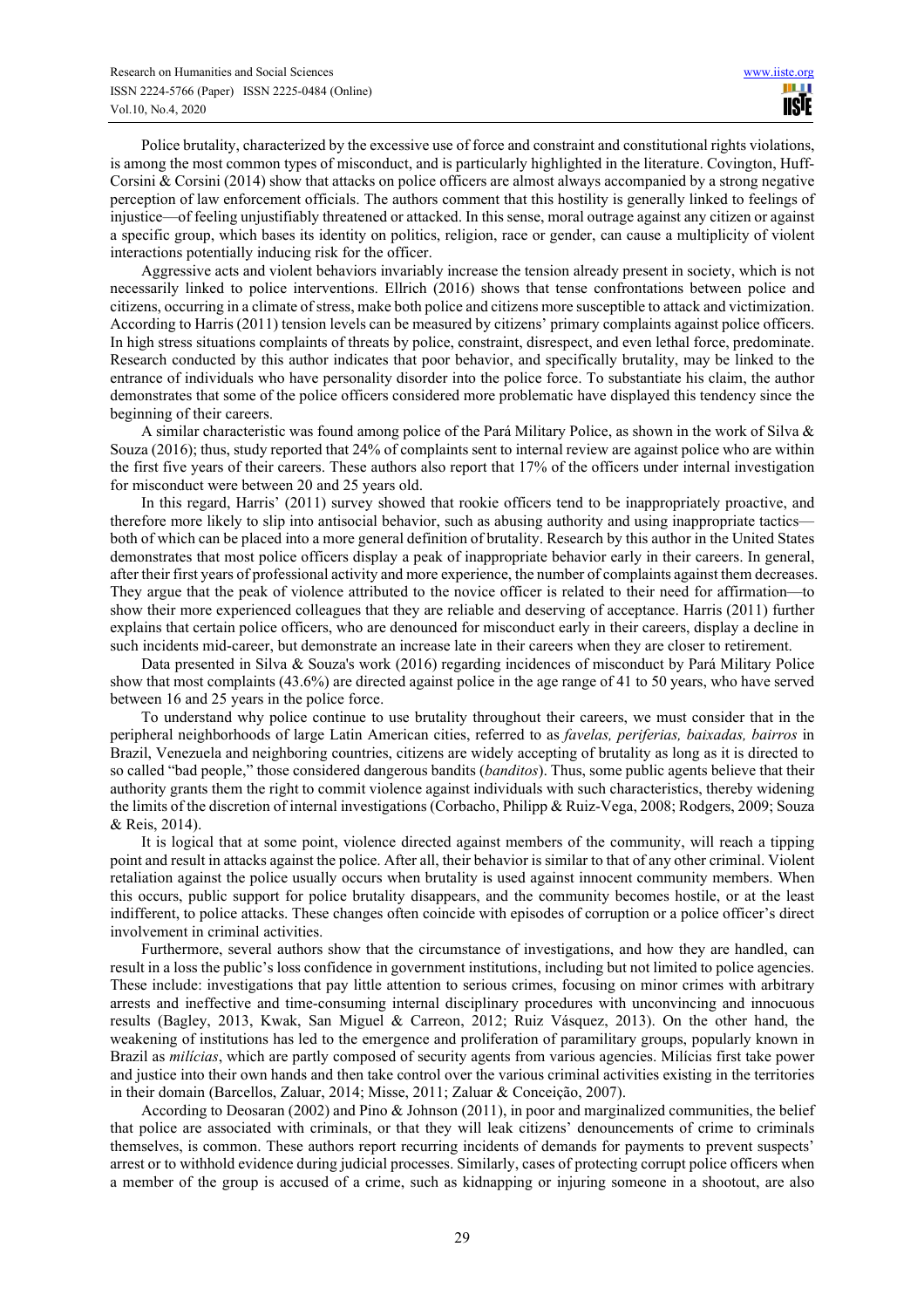Police brutality, characterized by the excessive use of force and constraint and constitutional rights violations, is among the most common types of misconduct, and is particularly highlighted in the literature. Covington, Huff-Corsini & Corsini (2014) show that attacks on police officers are almost always accompanied by a strong negative perception of law enforcement officials. The authors comment that this hostility is generally linked to feelings of injustice—of feeling unjustifiably threatened or attacked. In this sense, moral outrage against any citizen or against a specific group, which bases its identity on politics, religion, race or gender, can cause a multiplicity of violent interactions potentially inducing risk for the officer.

Aggressive acts and violent behaviors invariably increase the tension already present in society, which is not necessarily linked to police interventions. Ellrich (2016) shows that tense confrontations between police and citizens, occurring in a climate of stress, make both police and citizens more susceptible to attack and victimization. According to Harris (2011) tension levels can be measured by citizens' primary complaints against police officers. In high stress situations complaints of threats by police, constraint, disrespect, and even lethal force, predominate. Research conducted by this author indicates that poor behavior, and specifically brutality, may be linked to the entrance of individuals who have personality disorder into the police force. To substantiate his claim, the author demonstrates that some of the police officers considered more problematic have displayed this tendency since the beginning of their careers.

A similar characteristic was found among police of the Pará Military Police, as shown in the work of Silva  $\&$ Souza (2016); thus, study reported that 24% of complaints sent to internal review are against police who are within the first five years of their careers. These authors also report that 17% of the officers under internal investigation for misconduct were between 20 and 25 years old.

In this regard, Harris' (2011) survey showed that rookie officers tend to be inappropriately proactive, and therefore more likely to slip into antisocial behavior, such as abusing authority and using inappropriate tactics both of which can be placed into a more general definition of brutality. Research by this author in the United States demonstrates that most police officers display a peak of inappropriate behavior early in their careers. In general, after their first years of professional activity and more experience, the number of complaints against them decreases. They argue that the peak of violence attributed to the novice officer is related to their need for affirmation—to show their more experienced colleagues that they are reliable and deserving of acceptance. Harris (2011) further explains that certain police officers, who are denounced for misconduct early in their careers, display a decline in such incidents mid-career, but demonstrate an increase late in their careers when they are closer to retirement.

Data presented in Silva & Souza's work (2016) regarding incidences of misconduct by Pará Military Police show that most complaints (43.6%) are directed against police in the age range of 41 to 50 years, who have served between 16 and 25 years in the police force.

To understand why police continue to use brutality throughout their careers, we must consider that in the peripheral neighborhoods of large Latin American cities, referred to as *favelas, periferias, baixadas, bairros* in Brazil, Venezuela and neighboring countries, citizens are widely accepting of brutality as long as it is directed to so called "bad people," those considered dangerous bandits (*banditos*). Thus, some public agents believe that their authority grants them the right to commit violence against individuals with such characteristics, thereby widening the limits of the discretion of internal investigations (Corbacho, Philipp & Ruiz-Vega, 2008; Rodgers, 2009; Souza & Reis, 2014).

It is logical that at some point, violence directed against members of the community, will reach a tipping point and result in attacks against the police. After all, their behavior is similar to that of any other criminal. Violent retaliation against the police usually occurs when brutality is used against innocent community members. When this occurs, public support for police brutality disappears, and the community becomes hostile, or at the least indifferent, to police attacks. These changes often coincide with episodes of corruption or a police officer's direct involvement in criminal activities.

Furthermore, several authors show that the circumstance of investigations, and how they are handled, can result in a loss the public's loss confidence in government institutions, including but not limited to police agencies. These include: investigations that pay little attention to serious crimes, focusing on minor crimes with arbitrary arrests and ineffective and time-consuming internal disciplinary procedures with unconvincing and innocuous results (Bagley, 2013, Kwak, San Miguel & Carreon, 2012; Ruiz Vásquez, 2013). On the other hand, the weakening of institutions has led to the emergence and proliferation of paramilitary groups, popularly known in Brazil as *milícias*, which are partly composed of security agents from various agencies. Milícias first take power and justice into their own hands and then take control over the various criminal activities existing in the territories in their domain (Barcellos, Zaluar, 2014; Misse, 2011; Zaluar & Conceição, 2007).

According to Deosaran (2002) and Pino & Johnson (2011), in poor and marginalized communities, the belief that police are associated with criminals, or that they will leak citizens' denouncements of crime to criminals themselves, is common. These authors report recurring incidents of demands for payments to prevent suspects' arrest or to withhold evidence during judicial processes. Similarly, cases of protecting corrupt police officers when a member of the group is accused of a crime, such as kidnapping or injuring someone in a shootout, are also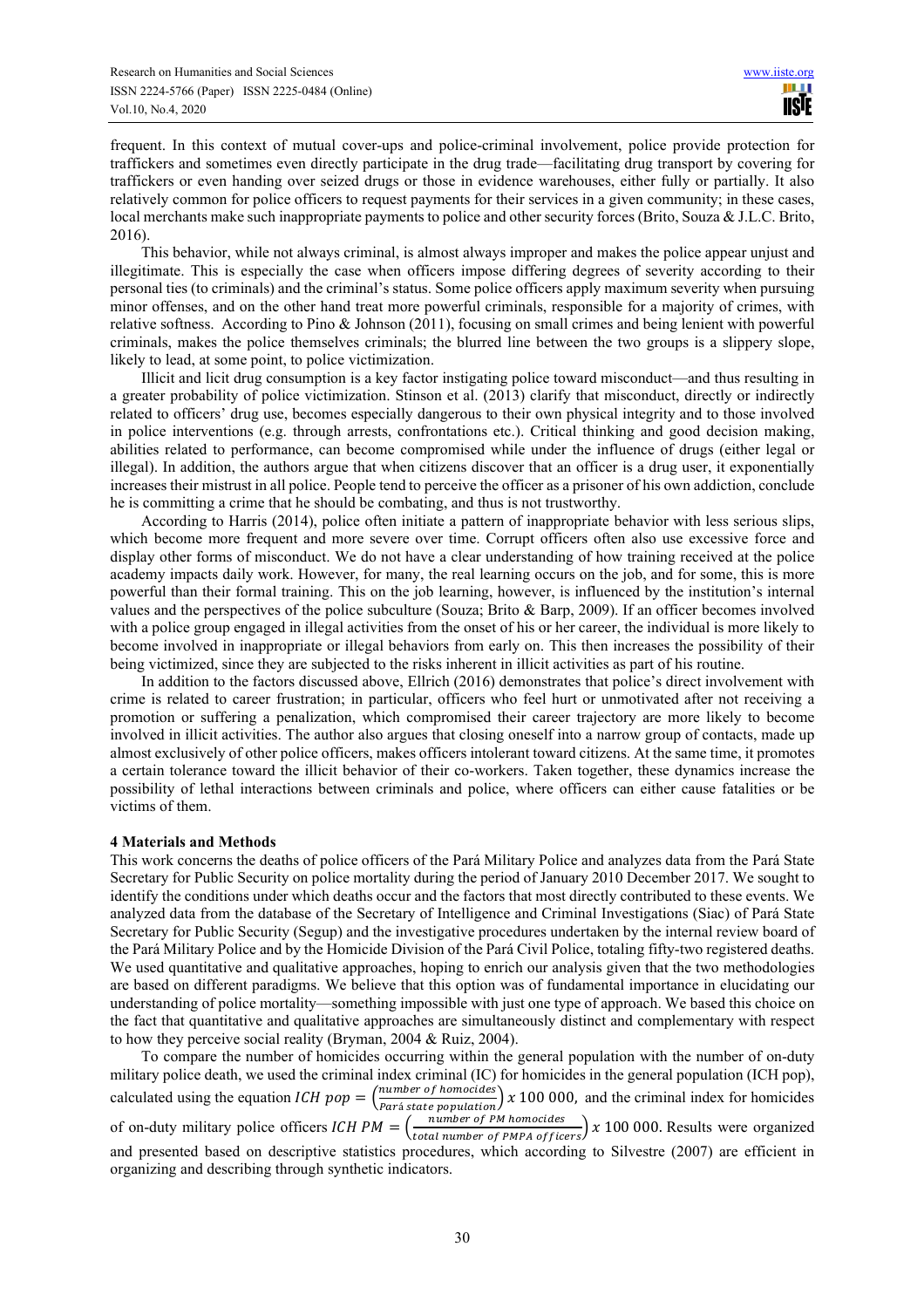frequent. In this context of mutual cover-ups and police-criminal involvement, police provide protection for traffickers and sometimes even directly participate in the drug trade—facilitating drug transport by covering for traffickers or even handing over seized drugs or those in evidence warehouses, either fully or partially. It also relatively common for police officers to request payments for their services in a given community; in these cases, local merchants make such inappropriate payments to police and other security forces (Brito, Souza & J.L.C. Brito, 2016).

This behavior, while not always criminal, is almost always improper and makes the police appear unjust and illegitimate. This is especially the case when officers impose differing degrees of severity according to their personal ties (to criminals) and the criminal's status. Some police officers apply maximum severity when pursuing minor offenses, and on the other hand treat more powerful criminals, responsible for a majority of crimes, with relative softness. According to Pino & Johnson (2011), focusing on small crimes and being lenient with powerful criminals, makes the police themselves criminals; the blurred line between the two groups is a slippery slope, likely to lead, at some point, to police victimization.

Illicit and licit drug consumption is a key factor instigating police toward misconduct—and thus resulting in a greater probability of police victimization. Stinson et al. (2013) clarify that misconduct, directly or indirectly related to officers' drug use, becomes especially dangerous to their own physical integrity and to those involved in police interventions (e.g. through arrests, confrontations etc.). Critical thinking and good decision making, abilities related to performance, can become compromised while under the influence of drugs (either legal or illegal). In addition, the authors argue that when citizens discover that an officer is a drug user, it exponentially increases their mistrust in all police. People tend to perceive the officer as a prisoner of his own addiction, conclude he is committing a crime that he should be combating, and thus is not trustworthy.

According to Harris (2014), police often initiate a pattern of inappropriate behavior with less serious slips, which become more frequent and more severe over time. Corrupt officers often also use excessive force and display other forms of misconduct. We do not have a clear understanding of how training received at the police academy impacts daily work. However, for many, the real learning occurs on the job, and for some, this is more powerful than their formal training. This on the job learning, however, is influenced by the institution's internal values and the perspectives of the police subculture (Souza; Brito & Barp, 2009). If an officer becomes involved with a police group engaged in illegal activities from the onset of his or her career, the individual is more likely to become involved in inappropriate or illegal behaviors from early on. This then increases the possibility of their being victimized, since they are subjected to the risks inherent in illicit activities as part of his routine.

In addition to the factors discussed above, Ellrich (2016) demonstrates that police's direct involvement with crime is related to career frustration; in particular, officers who feel hurt or unmotivated after not receiving a promotion or suffering a penalization, which compromised their career trajectory are more likely to become involved in illicit activities. The author also argues that closing oneself into a narrow group of contacts, made up almost exclusively of other police officers, makes officers intolerant toward citizens. At the same time, it promotes a certain tolerance toward the illicit behavior of their co-workers. Taken together, these dynamics increase the possibility of lethal interactions between criminals and police, where officers can either cause fatalities or be victims of them.

#### **4 Materials and Methods**

This work concerns the deaths of police officers of the Pará Military Police and analyzes data from the Pará State Secretary for Public Security on police mortality during the period of January 2010 December 2017. We sought to identify the conditions under which deaths occur and the factors that most directly contributed to these events. We analyzed data from the database of the Secretary of Intelligence and Criminal Investigations (Siac) of Pará State Secretary for Public Security (Segup) and the investigative procedures undertaken by the internal review board of the Pará Military Police and by the Homicide Division of the Pará Civil Police, totaling fifty-two registered deaths. We used quantitative and qualitative approaches, hoping to enrich our analysis given that the two methodologies are based on different paradigms. We believe that this option was of fundamental importance in elucidating our understanding of police mortality—something impossible with just one type of approach. We based this choice on the fact that quantitative and qualitative approaches are simultaneously distinct and complementary with respect to how they perceive social reality (Bryman, 2004 & Ruiz, 2004).

To compare the number of homicides occurring within the general population with the number of on-duty military police death, we used the criminal index criminal (IC) for homicides in the general population (ICH pop), calculated using the equation *ICH pop* =  $\frac{number\ of\ homocides}{Paris\ state\ nonulation}$  $\frac{1}{\text{Parti} \text{ state population}}$   $\left(x\right)$  100 000, and the criminal index for homicides of on-duty military police officers  $ICHPM = \left(\frac{number\ of\ PM\ homocides}{total\ number\ of\ PM\ of\ 5} \right)$  $\frac{1}{\text{total number of PMPA of fizers}}$   $\frac{x}{100,000}$ . Results were organized and presented based on descriptive statistics procedures, which according to Silvestre (2007) are efficient in organizing and describing through synthetic indicators.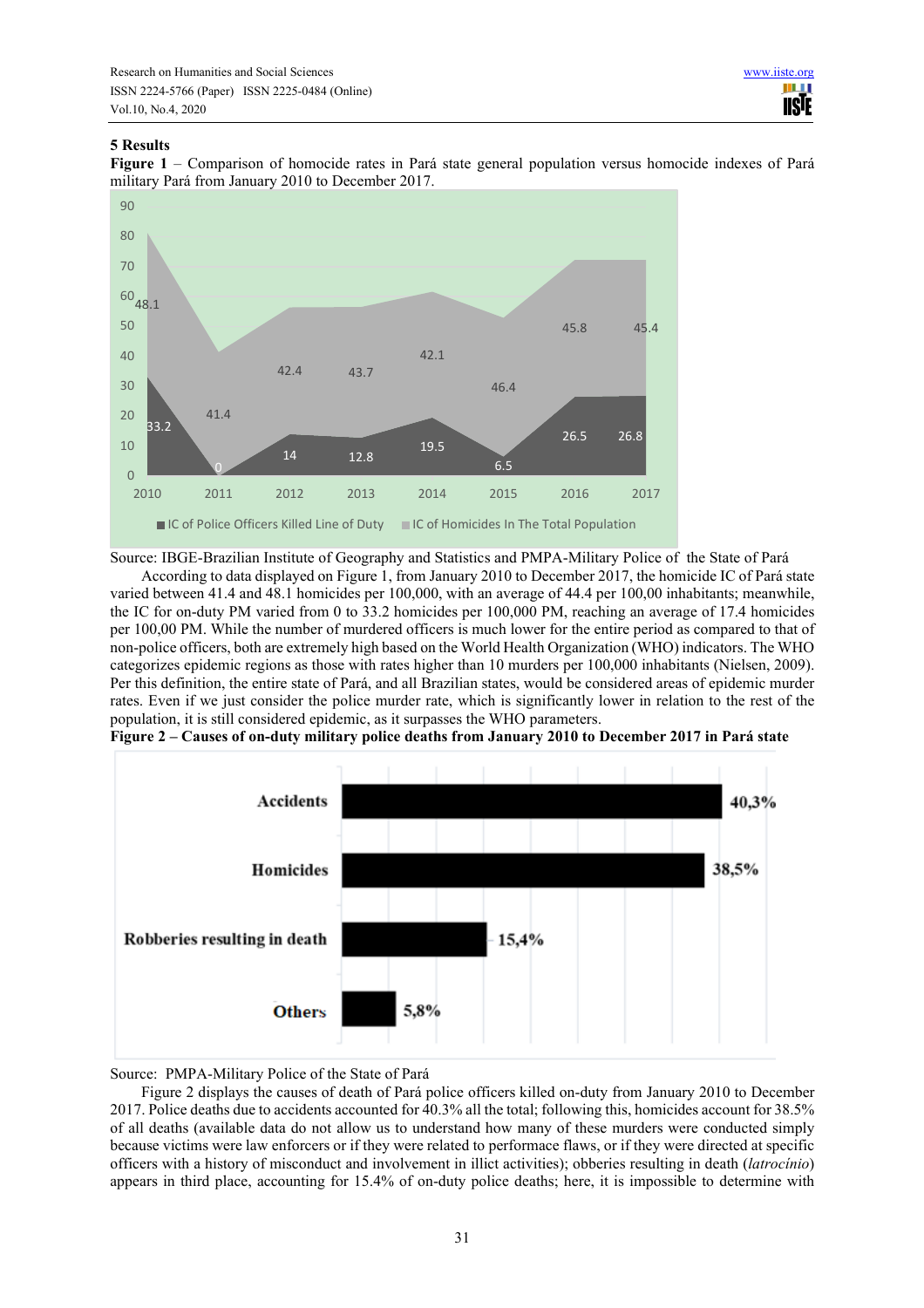# **5 Results**

**Figure 1** – Comparison of homocide rates in Pará state general population versus homocide indexes of Pará military Pará from January 2010 to December 2017.



Source: IBGE-Brazilian Institute of Geography and Statistics and PMPA-Military Police of the State of Pará

According to data displayed on Figure 1, from January 2010 to December 2017, the homicide IC of Pará state varied between 41.4 and 48.1 homicides per 100,000, with an average of 44.4 per 100,00 inhabitants; meanwhile, the IC for on-duty PM varied from 0 to 33.2 homicides per 100,000 PM, reaching an average of 17.4 homicides per 100,00 PM. While the number of murdered officers is much lower for the entire period as compared to that of non-police officers, both are extremely high based on the World Health Organization (WHO) indicators. The WHO categorizes epidemic regions as those with rates higher than 10 murders per 100,000 inhabitants (Nielsen, 2009). Per this definition, the entire state of Pará, and all Brazilian states, would be considered areas of epidemic murder rates. Even if we just consider the police murder rate, which is significantly lower in relation to the rest of the population, it is still considered epidemic, as it surpasses the WHO parameters.





Source: PMPA-Military Police of the State of Pará

Figure 2 displays the causes of death of Pará police officers killed on-duty from January 2010 to December 2017. Police deaths due to accidents accounted for 40.3% all the total; following this, homicides account for 38.5% of all deaths (available data do not allow us to understand how many of these murders were conducted simply because victims were law enforcers or if they were related to performace flaws, or if they were directed at specific officers with a history of misconduct and involvement in illict activities); obberies resulting in death (*latrocínio*) appears in third place, accounting for 15.4% of on-duty police deaths; here, it is impossible to determine with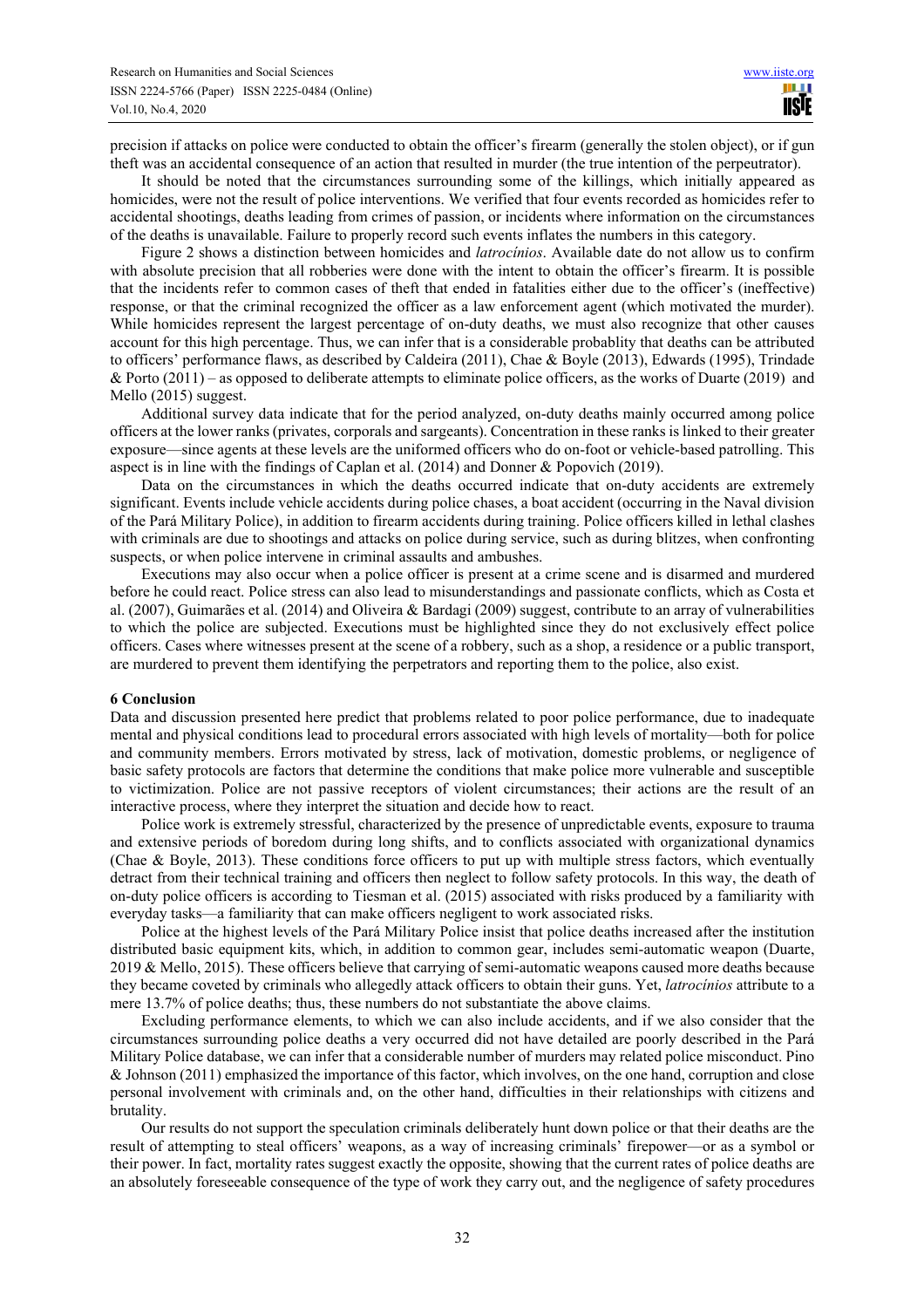precision if attacks on police were conducted to obtain the officer's firearm (generally the stolen object), or if gun theft was an accidental consequence of an action that resulted in murder (the true intention of the perpeutrator).

It should be noted that the circumstances surrounding some of the killings, which initially appeared as homicides, were not the result of police interventions. We verified that four events recorded as homicides refer to accidental shootings, deaths leading from crimes of passion, or incidents where information on the circumstances of the deaths is unavailable. Failure to properly record such events inflates the numbers in this category.

Figure 2 shows a distinction between homicides and *latrocínios*. Available date do not allow us to confirm with absolute precision that all robberies were done with the intent to obtain the officer's firearm. It is possible that the incidents refer to common cases of theft that ended in fatalities either due to the officer's (ineffective) response, or that the criminal recognized the officer as a law enforcement agent (which motivated the murder). While homicides represent the largest percentage of on-duty deaths, we must also recognize that other causes account for this high percentage. Thus, we can infer that is a considerable probablity that deaths can be attributed to officers' performance flaws, as described by Caldeira (2011), Chae & Boyle (2013), Edwards (1995), Trindade & Porto  $(2011)$  – as opposed to deliberate attempts to eliminate police officers, as the works of Duarte (2019) and Mello (2015) suggest.

Additional survey data indicate that for the period analyzed, on-duty deaths mainly occurred among police officers at the lower ranks (privates, corporals and sargeants). Concentration in these ranks is linked to their greater exposure—since agents at these levels are the uniformed officers who do on-foot or vehicle-based patrolling. This aspect is in line with the findings of Caplan et al. (2014) and Donner & Popovich (2019).

Data on the circumstances in which the deaths occurred indicate that on-duty accidents are extremely significant. Events include vehicle accidents during police chases, a boat accident (occurring in the Naval division of the Pará Military Police), in addition to firearm accidents during training. Police officers killed in lethal clashes with criminals are due to shootings and attacks on police during service, such as during blitzes, when confronting suspects, or when police intervene in criminal assaults and ambushes.

Executions may also occur when a police officer is present at a crime scene and is disarmed and murdered before he could react. Police stress can also lead to misunderstandings and passionate conflicts, which as Costa et al. (2007), Guimarães et al. (2014) and Oliveira & Bardagi (2009) suggest, contribute to an array of vulnerabilities to which the police are subjected. Executions must be highlighted since they do not exclusively effect police officers. Cases where witnesses present at the scene of a robbery, such as a shop, a residence or a public transport, are murdered to prevent them identifying the perpetrators and reporting them to the police, also exist.

#### **6 Conclusion**

Data and discussion presented here predict that problems related to poor police performance, due to inadequate mental and physical conditions lead to procedural errors associated with high levels of mortality—both for police and community members. Errors motivated by stress, lack of motivation, domestic problems, or negligence of basic safety protocols are factors that determine the conditions that make police more vulnerable and susceptible to victimization. Police are not passive receptors of violent circumstances; their actions are the result of an interactive process, where they interpret the situation and decide how to react.

Police work is extremely stressful, characterized by the presence of unpredictable events, exposure to trauma and extensive periods of boredom during long shifts, and to conflicts associated with organizational dynamics (Chae & Boyle, 2013). These conditions force officers to put up with multiple stress factors, which eventually detract from their technical training and officers then neglect to follow safety protocols. In this way, the death of on-duty police officers is according to Tiesman et al. (2015) associated with risks produced by a familiarity with everyday tasks—a familiarity that can make officers negligent to work associated risks.

Police at the highest levels of the Pará Military Police insist that police deaths increased after the institution distributed basic equipment kits, which, in addition to common gear, includes semi-automatic weapon (Duarte, 2019 & Mello, 2015). These officers believe that carrying of semi-automatic weapons caused more deaths because they became coveted by criminals who allegedly attack officers to obtain their guns. Yet, *latrocínios* attribute to a mere 13.7% of police deaths; thus, these numbers do not substantiate the above claims.

Excluding performance elements, to which we can also include accidents, and if we also consider that the circumstances surrounding police deaths a very occurred did not have detailed are poorly described in the Pará Military Police database, we can infer that a considerable number of murders may related police misconduct. Pino & Johnson (2011) emphasized the importance of this factor, which involves, on the one hand, corruption and close personal involvement with criminals and, on the other hand, difficulties in their relationships with citizens and brutality.

Our results do not support the speculation criminals deliberately hunt down police or that their deaths are the result of attempting to steal officers' weapons, as a way of increasing criminals' firepower—or as a symbol or their power. In fact, mortality rates suggest exactly the opposite, showing that the current rates of police deaths are an absolutely foreseeable consequence of the type of work they carry out, and the negligence of safety procedures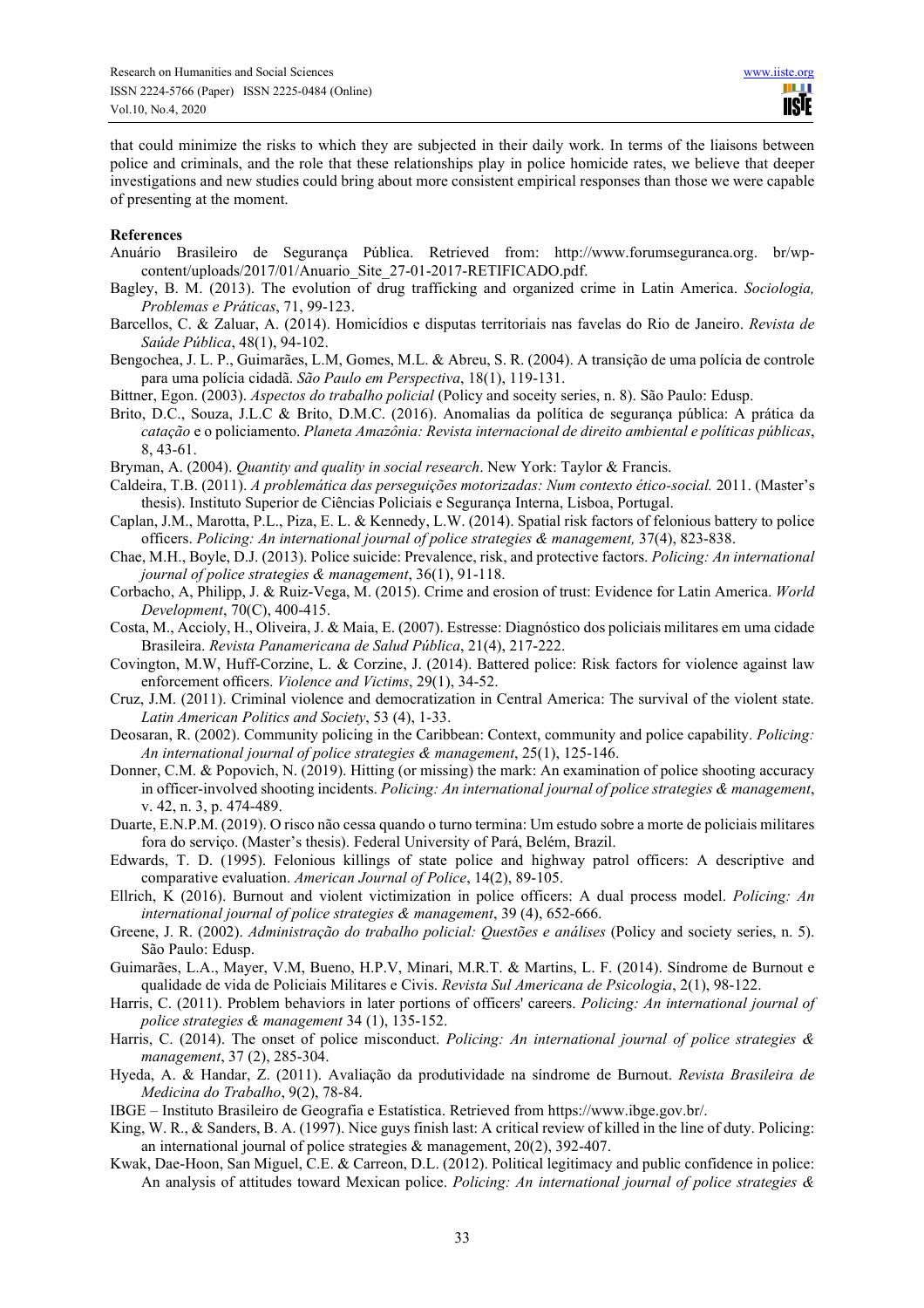that could minimize the risks to which they are subjected in their daily work. In terms of the liaisons between police and criminals, and the role that these relationships play in police homicide rates, we believe that deeper investigations and new studies could bring about more consistent empirical responses than those we were capable of presenting at the moment.

#### **References**

- Anuário Brasileiro de Segurança Pública. Retrieved from: http://www.forumseguranca.org. br/wpcontent/uploads/2017/01/Anuario\_Site\_27-01-2017-RETIFICADO.pdf.
- Bagley, B. M. (2013). The evolution of drug trafficking and organized crime in Latin America. *Sociologia, Problemas e Práticas*, 71, 99-123.
- Barcellos, C. & Zaluar, A. (2014). Homicídios e disputas territoriais nas favelas do Rio de Janeiro. *Revista de Saúde Pública*, 48(1), 94-102.
- Bengochea, J. L. P., Guimarães, L.M, Gomes, M.L. & Abreu, S. R. (2004). A transição de uma polícia de controle para uma polícia cidadã. *São Paulo em Perspectiva*, 18(1), 119-131.
- Bittner, Egon. (2003). *Aspectos do trabalho policial* (Policy and soceity series, n. 8). São Paulo: Edusp.
- Brito, D.C., Souza, J.L.C & Brito, D.M.C. (2016). Anomalias da política de segurança pública: A prática da *catação* e o policiamento. *Planeta Amazônia: Revista internacional de direito ambiental e políticas públicas*, 8, 43-61.
- Bryman, A. (2004). *Quantity and quality in social research*. New York: Taylor & Francis.
- Caldeira, T.B. (2011). *A problemática das perseguições motorizadas: Num contexto ético-social.* 2011. (Master's thesis). Instituto Superior de Ciências Policiais e Segurança Interna, Lisboa, Portugal.
- Caplan, J.M., Marotta, P.L., Piza, E. L. & Kennedy, L.W. (2014). Spatial risk factors of felonious battery to police officers. *Policing: An international journal of police strategies & management,* 37(4), 823-838.
- Chae, M.H., Boyle, D.J. (2013). Police suicide: Prevalence, risk, and protective factors. *Policing: An international journal of police strategies & management*, 36(1), 91-118.
- Corbacho, A, Philipp, J. & Ruiz-Vega, M. (2015). Crime and erosion of trust: Evidence for Latin America. *World Development*, 70(C), 400-415.
- Costa, M., Accioly, H., Oliveira, J. & Maia, E. (2007). Estresse: Diagnóstico dos policiais militares em uma cidade Brasileira. *Revista Panamericana de Salud Pública*, 21(4), 217-222.
- Covington, M.W, Huff-Corzine, L. & Corzine, J. (2014). Battered police: Risk factors for violence against law enforcement officers. *Violence and Victims*, 29(1), 34-52.
- Cruz, J.M. (2011). Criminal violence and democratization in Central America: The survival of the violent state. *Latin American Politics and Society*, 53 (4), 1-33.
- Deosaran, R. (2002). Community policing in the Caribbean: Context, community and police capability. *Policing: An international journal of police strategies & management*, 25(1), 125-146.
- Donner, C.M. & Popovich, N. (2019). Hitting (or missing) the mark: An examination of police shooting accuracy in officer-involved shooting incidents. *Policing: An international journal of police strategies & management*, v. 42, n. 3, p. 474-489.
- Duarte, E.N.P.M. (2019). O risco não cessa quando o turno termina: Um estudo sobre a morte de policiais militares fora do serviço. (Master's thesis). Federal University of Pará, Belém, Brazil.
- Edwards, T. D. (1995). Felonious killings of state police and highway patrol officers: A descriptive and comparative evaluation. *American Journal of Police*, 14(2), 89-105.
- Ellrich, K (2016). Burnout and violent victimization in police officers: A dual process model. *Policing: An international journal of police strategies & management*, 39 (4), 652-666.
- Greene, J. R. (2002). *Administração do trabalho policial: Questões e análises* (Policy and society series, n. 5). São Paulo: Edusp.
- Guimarães, L.A., Mayer, V.M, Bueno, H.P.V, Minari, M.R.T. & Martins, L. F. (2014). Síndrome de Burnout e qualidade de vida de Policiais Militares e Civis. *Revista Sul Americana de Psicologia*, 2(1), 98-122.
- Harris, C. (2011). Problem behaviors in later portions of officers' careers. *Policing: An international journal of police strategies & management* 34 (1), 135-152.
- Harris, C. (2014). The onset of police misconduct. *Policing: An international journal of police strategies & management*, 37 (2), 285-304.
- Hyeda, A. & Handar, Z. (2011). Avaliação da produtividade na síndrome de Burnout. *Revista Brasileira de Medicina do Trabalho*, 9(2), 78-84.
- IBGE Instituto Brasileiro de Geografia e Estatística. Retrieved from https://www.ibge.gov.br/.
- King, W. R., & Sanders, B. A. (1997). Nice guys finish last: A critical review of killed in the line of duty. Policing: an international journal of police strategies & management, 20(2), 392-407.
- Kwak, Dae-Hoon, San Miguel, C.E. & Carreon, D.L. (2012). Political legitimacy and public confidence in police: An analysis of attitudes toward Mexican police. *Policing: An international journal of police strategies &*